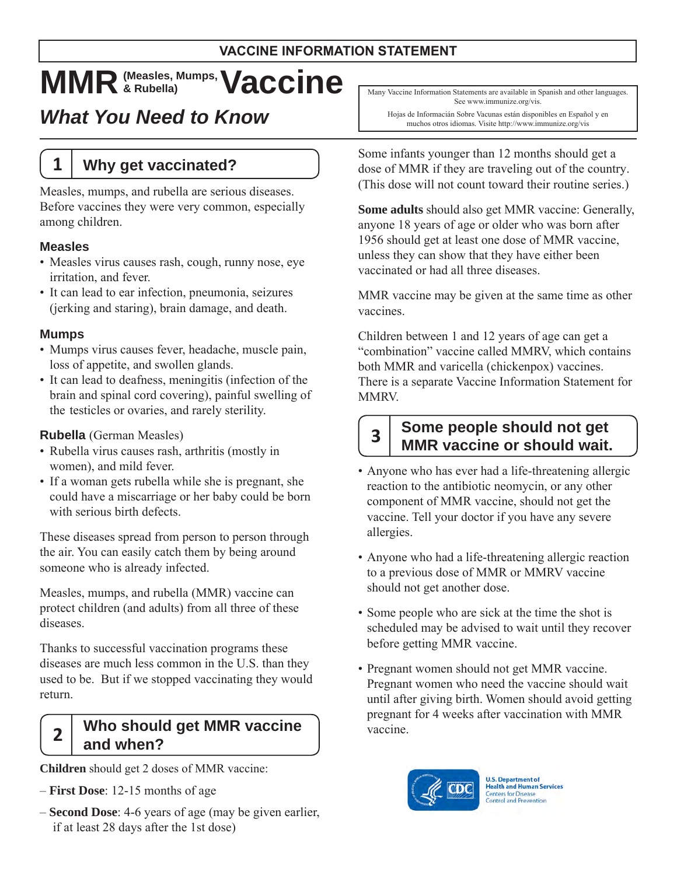# $MMR$   $_{\tiny{\text{R-Rubella}}}^{\tiny{\text{(Measles, Mumps)}}}$  **Vaccine**

# *What You Need to Know*

# **1 Why get vaccinated?**

Measles, mumps, and rubella are serious diseases. Before vaccines they were very common, especially among children.

#### **Measles**

- • Measles virus causes rash, cough, runny nose, eye irritation, and fever.
- It can lead to ear infection, pneumonia, seizures (jerking and staring), brain damage, and death.

#### **Mumps**

- • Mumps virus causes fever, headache, muscle pain, loss of appetite, and swollen glands.
- It can lead to deafness, meningitis (infection of the brain and spinal cord covering), painful swelling of the testicles or ovaries, and rarely sterility.

#### **Rubella** (German Measles)

- Rubella virus causes rash, arthritis (mostly in women), and mild fever.
- If a woman gets rubella while she is pregnant, she could have a miscarriage or her baby could be born with serious birth defects.

These diseases spread from person to person through the air. You can easily catch them by being around someone who is already infected.

Measles, mumps, and rubella (MMR) vaccine can protect children (and adults) from all three of these diseases.

Thanks to successful vaccination programs these diseases are much less common in the U.S. than they used to be. But if we stopped vaccinating they would return.

### **2 Who should get MMR vaccine and when?**

 **Children** should get 2 doses of MMR vaccine:

- **First Dose**: 12-15 months of age
- **Second Dose**: 4-6 years of age (may be given earlier, if at least 28 days after the 1st dose)

 Many Vaccine Information Statements are available in Spanish and other languages. See www.immunize.org/vis.

 Hojas de Informacián Sobre Vacunas están disponibles en Español y en muchos otros idiomas. Visite http://www.immunize.org/vis

Some infants younger than 12 months should get a dose of MMR if they are traveling out of the country. (This dose will not count toward their routine series.)

**Some adults** should also get MMR vaccine: Generally, anyone 18 years of age or older who was born after 1956 should get at least one dose of MMR vaccine, unless they can show that they have either been vaccinated or had all three diseases.

MMR vaccine may be given at the same time as other vaccines.

Children between 1 and 12 years of age can get a "combination" vaccine called MMRV, which contains both MMR and varicella (chickenpox) vaccines. There is a separate Vaccine Information Statement for MMRV.

### **3 Some people should not get MMR vaccine or should wait.**

- • Anyone who has ever had a life-threatening allergic component of MMR vaccine, should not get the reaction to the antibiotic neomycin, or any other vaccine. Tell your doctor if you have any severe allergies.
- • Anyone who had a life-threatening allergic reaction to a previous dose of MMR or MMRV vaccine should not get another dose.
- Some people who are sick at the time the shot is before getting MMR vaccine. scheduled may be advised to wait until they recover
- Pregnant women should not get MMR vaccine. Pregnant women who need the vaccine should wait until after giving birth. Women should avoid getting pregnant for 4 weeks after vaccination with MMR vaccine.



**U.S. Department of Health and Human Services Centers for Disease Control and Prevention**